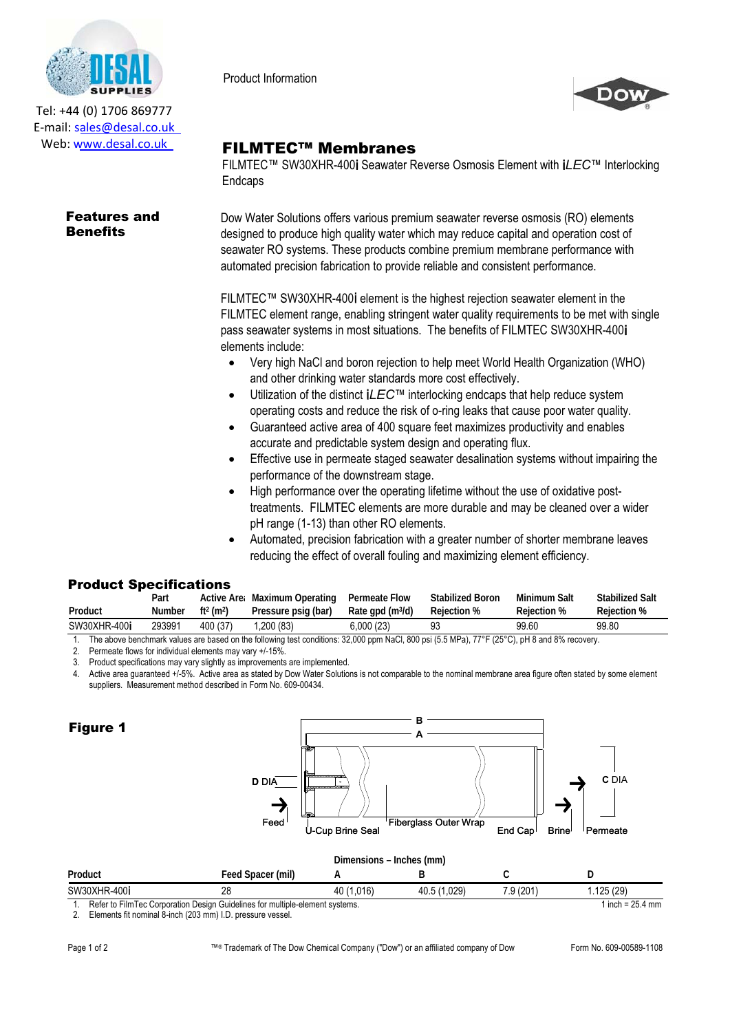

Tel: +44 (0) 1706 869777 E‐mail: sales@desal.co.uk Web: www.desal.co.uk

## Features and **Benefits**

Product Information



## FILMTEC™ Membranes

FILMTEC™ SW30XHR-400i Seawater Reverse Osmosis Element with i*LEC*™ Interlocking Endcaps

Dow Water Solutions offers various premium seawater reverse osmosis (RO) elements designed to produce high quality water which may reduce capital and operation cost of seawater RO systems. These products combine premium membrane performance with automated precision fabrication to provide reliable and consistent performance.

FILMTEC™ SW30XHR-400i element is the highest rejection seawater element in the FILMTEC element range, enabling stringent water quality requirements to be met with single pass seawater systems in most situations. The benefits of FILMTEC SW30XHR-400i elements include:

- $\bullet$ Very high NaCl and boron rejection to help meet World Health Organization (WHO) and other drinking water standards more cost effectively.
- $\bullet$ Utilization of the distinct i*LEC*™ interlocking endcaps that help reduce system operating costs and reduce the risk of o-ring leaks that cause poor water quality.
- -Guaranteed active area of 400 square feet maximizes productivity and enables accurate and predictable system design and operating flux.
- $\bullet$ Effective use in permeate staged seawater desalination systems without impairing the performance of the downstream stage.
- $\bullet$ High performance over the operating lifetime without the use of oxidative posttreatments. FILMTEC elements are more durable and may be cleaned over a wider pH range (1-13) than other RO elements.
- $\bullet$ Automated, precision fabrication with a greater number of shorter membrane leaves reducing the effect of overall fouling and maximizing element efficiency.

## Product Specifications

|                                                                                                                                               | Part   |                                   | Active Are: Maximum Operating | Permeate Flow         | <b>Stabilized Boron</b> | Minimum Salt | <b>Stabilized Salt</b> |
|-----------------------------------------------------------------------------------------------------------------------------------------------|--------|-----------------------------------|-------------------------------|-----------------------|-------------------------|--------------|------------------------|
| Product                                                                                                                                       | Number | ft <sup>2</sup> (m <sup>2</sup> ) | Pressure psig (bar)           | Rate $qpd$ (m $3/d$ ) | Rejection %             | Reiection %  | Rejection %            |
| SW30XHR-400i                                                                                                                                  | 293991 | 400 (37)                          | 0.200(83)                     | 6.000 (23)            | 93                      | 99.60        | 99.80                  |
| The above benchmark values are based on the following test conditions: 32,000 ppm NaCl, 800 psi (5.5 MPa), 77°F (25°C), pH 8 and 8% recovery. |        |                                   |                               |                       |                         |              |                        |

2. Permeate flows for individual elements may vary +/-15%.

3. Product specifications may vary slightly as improvements are implemented.

4. Active area guaranteed +/-5%. Active area as stated by Dow Water Solutions is not comparable to the nominal membrane area figure often stated by some element suppliers. Measurement method described in Form No. 609-00434.

| <b>Figure 1</b> | <b>D</b> DIA<br>$\overline{\phantom{a}}$<br>Feed <sup>1</sup> | <b><i><u> Martin amaman ya Kirika Marti</u></i></b><br><b>Liter</b> | в<br>A<br><sup>1</sup> Fiberglass Outer Wrap |                           | <b>C</b> DIA                  |
|-----------------|---------------------------------------------------------------|---------------------------------------------------------------------|----------------------------------------------|---------------------------|-------------------------------|
| Product         | Feed Spacer (mil)                                             | <b>U-Cup Brine Seal</b><br>Α                                        | Dimensions - Inches (mm)<br>B                | End Cap <sup>1</sup><br>C | <b>Brine</b><br>Permeate<br>D |
| SW30XHR-400i    | 28                                                            | 40 (1,016)                                                          | 40.5 (1,029)                                 | 7.9 (201)                 | 1.125(29)                     |
|                 | .                                                             |                                                                     |                                              |                           |                               |

Refer to FilmTec Corporation Design Guidelines for multiple-element systems. 1 inch = 25.4 mm

2. Elements fit nominal 8-inch (203 mm) I.D. pressure vessel.